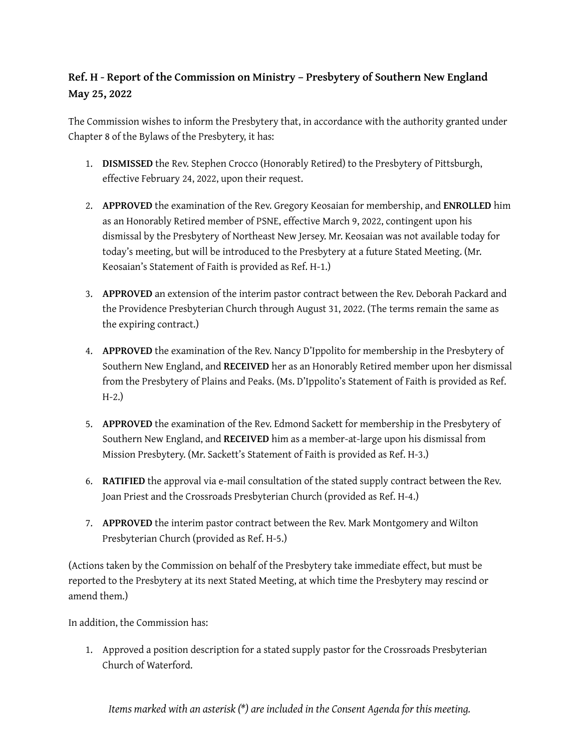## **Ref. H - Report of the Commission on Ministry – Presbytery of Southern New England May 25, 2022**

The Commission wishes to inform the Presbytery that, in accordance with the authority granted under Chapter 8 of the Bylaws of the Presbytery, it has:

- 1. **DISMISSED** the Rev. Stephen Crocco (Honorably Retired) to the Presbytery of Pittsburgh, effective February 24, 2022, upon their request.
- 2. **APPROVED** the examination of the Rev. Gregory Keosaian for membership, and **ENROLLED** him as an Honorably Retired member of PSNE, effective March 9, 2022, contingent upon his dismissal by the Presbytery of Northeast New Jersey. Mr. Keosaian was not available today for today's meeting, but will be introduced to the Presbytery at a future Stated Meeting. (Mr. Keosaian's Statement of Faith is provided as Ref. H-1.)
- 3. **APPROVED** an extension of the interim pastor contract between the Rev. Deborah Packard and the Providence Presbyterian Church through August 31, 2022. (The terms remain the same as the expiring contract.)
- 4. **APPROVED** the examination of the Rev. Nancy D'Ippolito for membership in the Presbytery of Southern New England, and **RECEIVED** her as an Honorably Retired member upon her dismissal from the Presbytery of Plains and Peaks. (Ms. D'Ippolito's Statement of Faith is provided as Ref. H-2.)
- 5. **APPROVED** the examination of the Rev. Edmond Sackett for membership in the Presbytery of Southern New England, and **RECEIVED** him as a member-at-large upon his dismissal from Mission Presbytery. (Mr. Sackett's Statement of Faith is provided as Ref. H-3.)
- 6. **RATIFIED** the approval via e-mail consultation of the stated supply contract between the Rev. Joan Priest and the Crossroads Presbyterian Church (provided as Ref. H-4.)
- 7. **APPROVED** the interim pastor contract between the Rev. Mark Montgomery and Wilton Presbyterian Church (provided as Ref. H-5.)

(Actions taken by the Commission on behalf of the Presbytery take immediate effect, but must be reported to the Presbytery at its next Stated Meeting, at which time the Presbytery may rescind or amend them.)

In addition, the Commission has:

1. Approved a position description for a stated supply pastor for the Crossroads Presbyterian Church of Waterford.